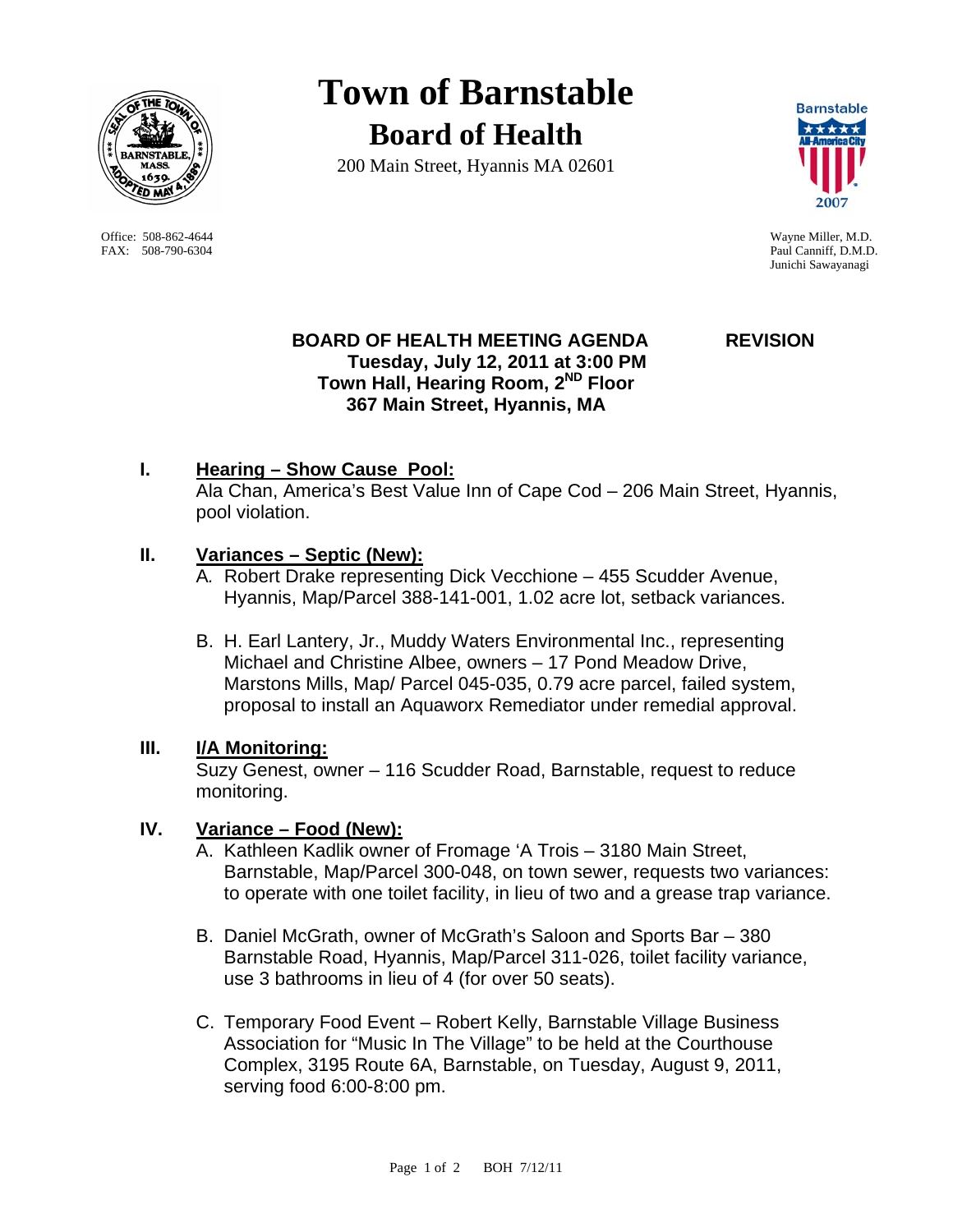

Office: 508-862-4644 Wayne Miller, M.D. FAX: 508-790-6304 Paul Canniff, D.M.D.

# **Town of Barnstable Board of Health**

200 Main Street, Hyannis MA 02601



Junichi Sawayanagi

## **BOARD OF HEALTH MEETING AGENDA REVISION Tuesday, July 12, 2011 at 3:00 PM Town Hall, Hearing Room, 2ND Floor 367 Main Street, Hyannis, MA**

# **I. Hearing – Show Cause Pool:**

 Ala Chan, America's Best Value Inn of Cape Cod – 206 Main Street, Hyannis, pool violation.

## **II. Variances – Septic (New):**

- A*.* Robert Drake representing Dick Vecchione 455 Scudder Avenue, Hyannis, Map/Parcel 388-141-001, 1.02 acre lot, setback variances.
- B. H. Earl Lantery, Jr., Muddy Waters Environmental Inc., representing Michael and Christine Albee, owners – 17 Pond Meadow Drive, Marstons Mills, Map/ Parcel 045-035, 0.79 acre parcel, failed system, proposal to install an Aquaworx Remediator under remedial approval.

#### **III. I/A Monitoring:**

Suzy Genest, owner – 116 Scudder Road, Barnstable, request to reduce monitoring.

# **IV. Variance – Food (New):**

- A. Kathleen Kadlik owner of Fromage 'A Trois 3180 Main Street, Barnstable, Map/Parcel 300-048, on town sewer, requests two variances: to operate with one toilet facility, in lieu of two and a grease trap variance.
- B. Daniel McGrath, owner of McGrath's Saloon and Sports Bar 380 Barnstable Road, Hyannis, Map/Parcel 311-026, toilet facility variance, use 3 bathrooms in lieu of 4 (for over 50 seats).
- C. Temporary Food Event Robert Kelly, Barnstable Village Business Association for "Music In The Village" to be held at the Courthouse Complex, 3195 Route 6A, Barnstable, on Tuesday, August 9, 2011, serving food 6:00-8:00 pm.